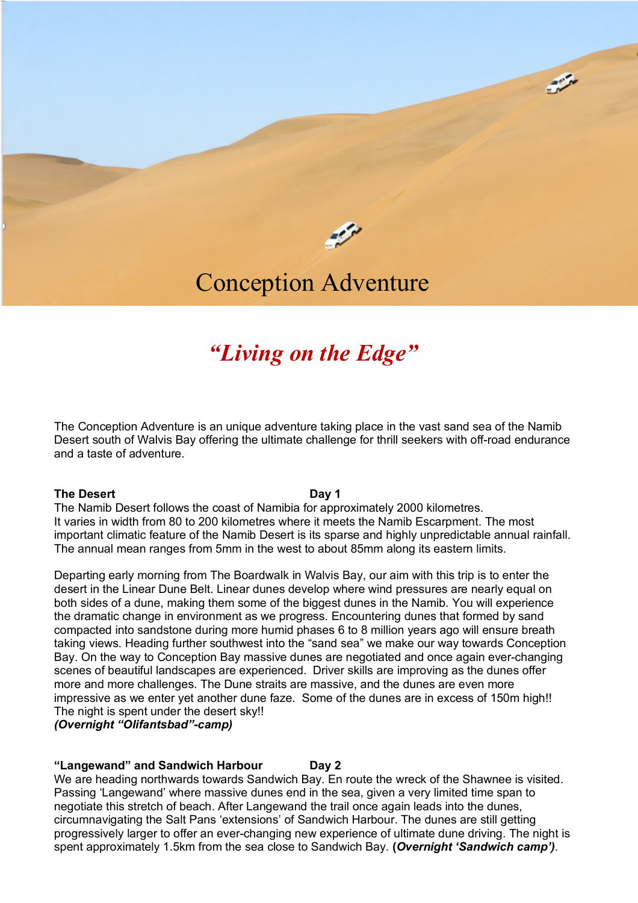

 $\sim$ 

# Conception Adventure

# *"Living on the Edge"*

The Conception Adventure is an unique adventure taking place in the vast sand sea of the Namib Desert south of Walvis Bay offering the ultimate challenge for thrill seekers with off-road endurance and a taste of adventure.

### **The Desert Day 1**

The Namib Desert follows the coast of Namibia for approximately 2000 kilometres. It varies in width from 80 to 200 kilometres where it meets the Namib Escarpment. The most important climatic feature of the Namib Desert is its sparse and highly unpredictable annual rainfall. The annual mean ranges from 5mm in the west to about 85mm along its eastern limits.

Departing early morning from The Boardwalk in Walvis Bay, our aim with this trip is to enter the desert in the Linear Dune Belt. Linear dunes develop where wind pressures are nearly equal on both sides of a dune, making them some of the biggest dunes in the Namib. You will experience the dramatic change in environment as we progress. Encountering dunes that formed by sand compacted into sandstone during more humid phases 6 to 8 million years ago will ensure breath taking views. Heading further southwest into the "sand sea" we make our way towards Conception Bay. On the way to Conception Bay massive dunes are negotiated and once again ever-changing scenes of beautiful landscapes are experienced. Driver skills are improving as the dunes offer more and more challenges. The Dune straits are massive, and the dunes are even more impressive as we enter yet another dune faze. Some of the dunes are in excess of 150m high!! The night is spent under the desert sky!!

*(Overnight "Olifantsbad"-camp)*

## **"Langewand" and Sandwich Harbour Day 2**

We are heading northwards towards Sandwich Bay. En route the wreck of the Shawnee is visited. Passing 'Langewand' where massive dunes end in the sea, given a very limited time span to negotiate this stretch of beach. After Langewand the trail once again leads into the dunes, circumnavigating the Salt Pans 'extensions' of Sandwich Harbour. The dunes are still getting progressively larger to offer an ever-changing new experience of ultimate dune driving. The night is spent approximately 1.5km from the sea close to Sandwich Bay. **(***Overnight 'Sandwich camp')*.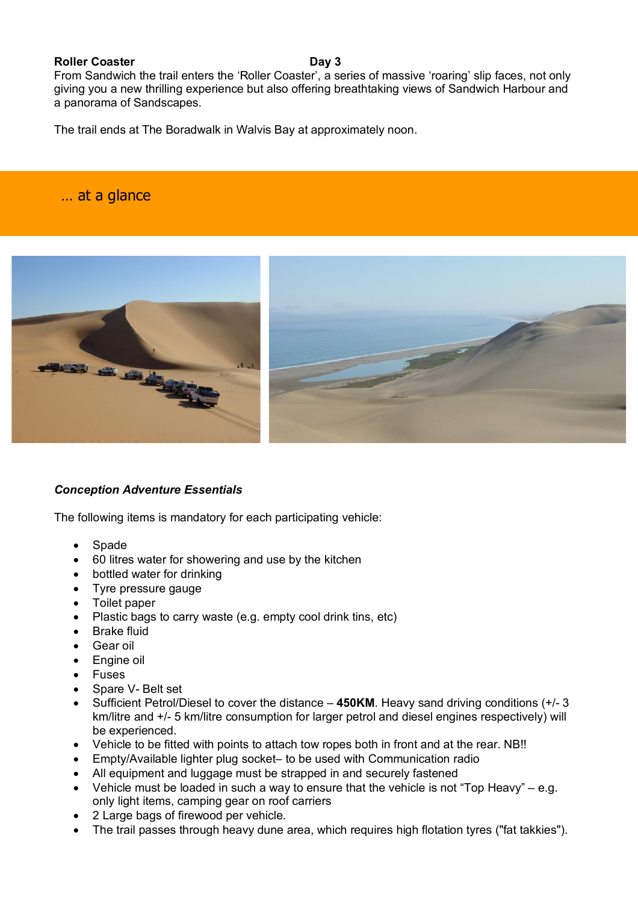## **Roller Coaster Day 3**

From Sandwich the trail enters the 'Roller Coaster', a series of massive 'roaring' slip faces, not only giving you a new thrilling experience but also offering breathtaking views of Sandwich Harbour and a panorama of Sandscapes.

The trail ends at The Boradwalk in Walvis Bay at approximately noon.

# … at a glance

j



# *Conception Adventure Essentials*

The following items is mandatory for each participating vehicle:

- **Spade**
- 60 litres water for showering and use by the kitchen
- bottled water for drinking
- Tyre pressure gauge
- Toilet paper
- Plastic bags to carry waste (e.g. empty cool drink tins, etc)
- Brake fluid
- Gear oil
- Engine oil
- **Fuses**
- Spare V- Belt set
- Sufficient Petrol/Diesel to cover the distance **450KM**. Heavy sand driving conditions (+/- 3 km/litre and +/- 5 km/litre consumption for larger petrol and diesel engines respectively) will be experienced.
- Vehicle to be fitted with points to attach tow ropes both in front and at the rear. NB!!
- Empty/Available lighter plug socket– to be used with Communication radio
- All equipment and luggage must be strapped in and securely fastened
- Vehicle must be loaded in such a way to ensure that the vehicle is not "Top Heavy" e.g. only light items, camping gear on roof carriers
- 2 Large bags of firewood per vehicle.
- The trail passes through heavy dune area, which requires high flotation tyres ("fat takkies").